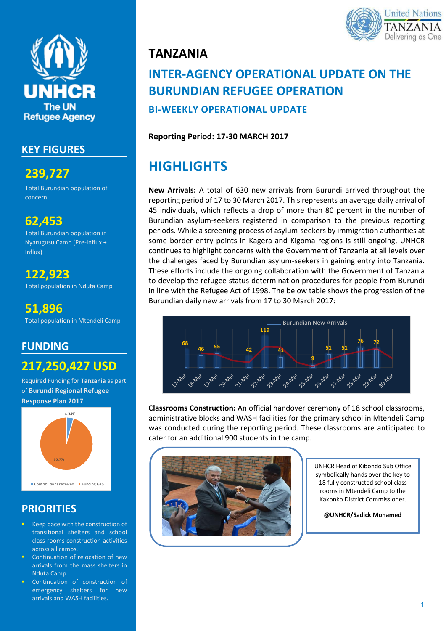

## **KEY FIGURES**

**239,727**

Total Burundian population of concern

## **62,453**

Total Burundian population in Nyarugusu Camp (Pre-Influx + Influx)

**122,923** Total population in Nduta Camp

**51,896** Total population in Mtendeli Camp

## **FUNDING**

## **217,250,427 USD**

Required Funding for **Tanzania** as part of **Burundi Regional Refugee Response Plan 2017**



## **PRIORITIES**

- Keep pace with the construction of transitional shelters and school class rooms construction activities across all camps.
- Continuation of relocation of new arrivals from the mass shelters in Nduta Camp.
- Continuation of construction of emergency shelters for new arrivals and WASH facilities.



# **INTER-AGENCY OPERATIONAL UPDATE ON THE BURUNDIAN REFUGEE OPERATION**

**BI-WEEKLY OPERATIONAL UPDATE**

#### **Reporting Period: 17-30 MARCH 2017**

# **HIGHLIGHTS**

**New Arrivals:** A total of 630 new arrivals from Burundi arrived throughout the reporting period of 17 to 30 March 2017. This represents an average daily arrival of 45 individuals, which reflects a drop of more than 80 percent in the number of Burundian asylum-seekers registered in comparison to the previous reporting periods. While a screening process of asylum-seekers by immigration authorities at some border entry points in Kagera and Kigoma regions is still ongoing, UNHCR continues to highlight concerns with the Government of Tanzania at all levels over the challenges faced by Burundian asylum-seekers in gaining entry into Tanzania. These efforts include the ongoing collaboration with the Government of Tanzania to develop the refugee status determination procedures for people from Burundi in line with the Refugee Act of 1998. The below table shows the progression of the Burundian daily new arrivals from 17 to 30 March 2017:



**Classrooms Construction:** An official handover ceremony of 18 school classrooms, administrative blocks and WASH facilities for the primary school in Mtendeli Camp was conducted during the reporting period. These classrooms are anticipated to cater for an additional 900 students in the camp.



UNHCR Head of Kibondo Sub Office symbolically hands over the key to 18 fully constructed school class rooms in Mtendeli Camp to the Kakonko District Commissioner.

**@UNHCR/Sadick Mohamed**

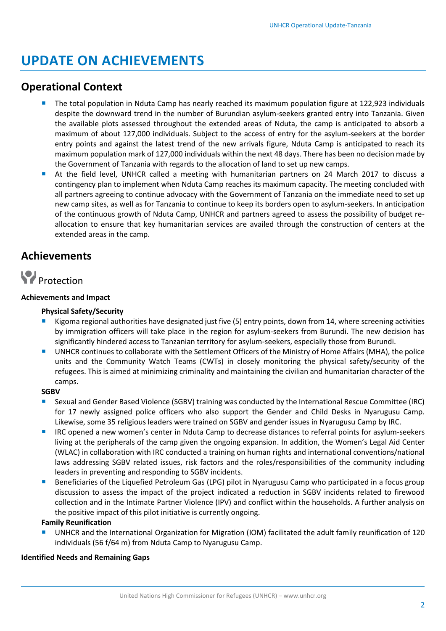# **UPDATE ON ACHIEVEMENTS**

## **Operational Context**

- The total population in Nduta Camp has nearly reached its maximum population figure at 122,923 individuals despite the downward trend in the number of Burundian asylum-seekers granted entry into Tanzania. Given the available plots assessed throughout the extended areas of Nduta, the camp is anticipated to absorb a maximum of about 127,000 individuals. Subject to the access of entry for the asylum-seekers at the border entry points and against the latest trend of the new arrivals figure, Nduta Camp is anticipated to reach its maximum population mark of 127,000 individuals within the next 48 days. There has been no decision made by the Government of Tanzania with regards to the allocation of land to set up new camps.
- At the field level, UNHCR called a meeting with humanitarian partners on 24 March 2017 to discuss a contingency plan to implement when Nduta Camp reaches its maximum capacity. The meeting concluded with all partners agreeing to continue advocacy with the Government of Tanzania on the immediate need to set up new camp sites, as well as for Tanzania to continue to keep its borders open to asylum-seekers. In anticipation of the continuous growth of Nduta Camp, UNHCR and partners agreed to assess the possibility of budget reallocation to ensure that key humanitarian services are availed through the construction of centers at the extended areas in the camp.

## **Achievements**



#### **Achievements and Impact**

#### **Physical Safety/Security**

- Kigoma regional authorities have designated just five (5) entry points, down from 14, where screening activities by immigration officers will take place in the region for asylum-seekers from Burundi. The new decision has significantly hindered access to Tanzanian territory for asylum-seekers, especially those from Burundi.
- UNHCR continues to collaborate with the Settlement Officers of the Ministry of Home Affairs (MHA), the police units and the Community Watch Teams (CWTs) in closely monitoring the physical safety/security of the refugees. This is aimed at minimizing criminality and maintaining the civilian and humanitarian character of the camps.

#### **SGBV**

- Sexual and Gender Based Violence (SGBV) training was conducted by the International Rescue Committee (IRC) for 17 newly assigned police officers who also support the Gender and Child Desks in Nyarugusu Camp. Likewise, some 35 religious leaders were trained on SGBV and gender issues in Nyarugusu Camp by IRC.
- **IF** IRC opened a new women's center in Nduta Camp to decrease distances to referral points for asylum-seekers living at the peripherals of the camp given the ongoing expansion. In addition, the Women's Legal Aid Center (WLAC) in collaboration with IRC conducted a training on human rights and international conventions/national laws addressing SGBV related issues, risk factors and the roles/responsibilities of the community including leaders in preventing and responding to SGBV incidents.
- Beneficiaries of the Liquefied Petroleum Gas (LPG) pilot in Nyarugusu Camp who participated in a focus group discussion to assess the impact of the project indicated a reduction in SGBV incidents related to firewood collection and in the Intimate Partner Violence (IPV) and conflict within the households. A further analysis on the positive impact of this pilot initiative is currently ongoing.

#### **Family Reunification**

 UNHCR and the International Organization for Migration (IOM) facilitated the adult family reunification of 120 individuals (56 f/64 m) from Nduta Camp to Nyarugusu Camp.

#### **Identified Needs and Remaining Gaps**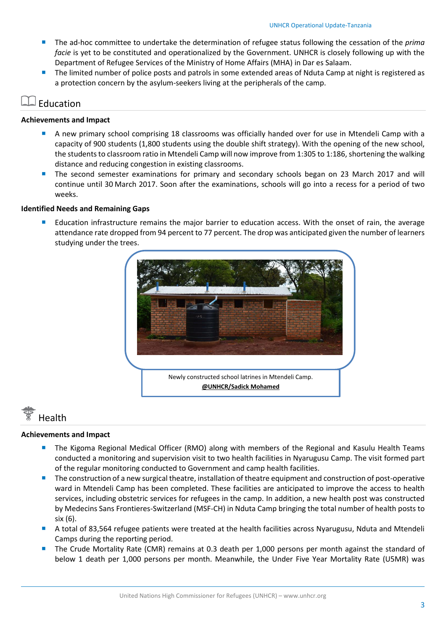- The ad-hoc committee to undertake the determination of refugee status following the cessation of the *prima facie* is yet to be constituted and operationalized by the Government. UNHCR is closely following up with the Department of Refugee Services of the Ministry of Home Affairs (MHA) in Dar es Salaam.
- The limited number of police posts and patrols in some extended areas of Nduta Camp at night is registered as a protection concern by the asylum-seekers living at the peripherals of the camp.

### Education

#### **Achievements and Impact**

- A new primary school comprising 18 classrooms was officially handed over for use in Mtendeli Camp with a capacity of 900 students (1,800 students using the double shift strategy). With the opening of the new school, the students to classroom ratio in Mtendeli Camp will now improve from 1:305 to 1:186, shortening the walking distance and reducing congestion in existing classrooms.
- **The second semester examinations for primary and secondary schools began on 23 March 2017 and will** continue until 30 March 2017. Soon after the examinations, schools will go into a recess for a period of two weeks.

#### **Identified Needs and Remaining Gaps**

 Education infrastructure remains the major barrier to education access. With the onset of rain, the average attendance rate dropped from 94 percent to 77 percent. The drop was anticipated given the number of learners studying under the trees.



# Health

#### **Achievements and Impact**

- The Kigoma Regional Medical Officer (RMO) along with members of the Regional and Kasulu Health Teams conducted a monitoring and supervision visit to two health facilities in Nyarugusu Camp. The visit formed part of the regular monitoring conducted to Government and camp health facilities.
- The construction of a new surgical theatre, installation of theatre equipment and construction of post-operative ward in Mtendeli Camp has been completed. These facilities are anticipated to improve the access to health services, including obstetric services for refugees in the camp. In addition, a new health post was constructed by Medecins Sans Frontieres-Switzerland (MSF-CH) in Nduta Camp bringing the total number of health posts to six (6).
- A total of 83,564 refugee patients were treated at the health facilities across Nyarugusu, Nduta and Mtendeli Camps during the reporting period.
- The Crude Mortality Rate (CMR) remains at 0.3 death per 1,000 persons per month against the standard of below 1 death per 1,000 persons per month. Meanwhile, the Under Five Year Mortality Rate (U5MR) was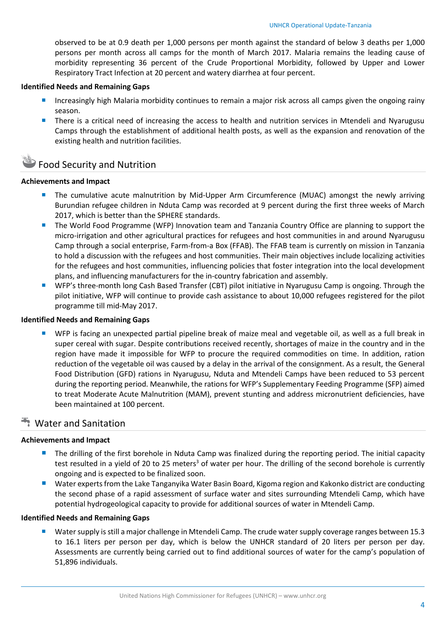observed to be at 0.9 death per 1,000 persons per month against the standard of below 3 deaths per 1,000 persons per month across all camps for the month of March 2017. Malaria remains the leading cause of morbidity representing 36 percent of the Crude Proportional Morbidity, followed by Upper and Lower Respiratory Tract Infection at 20 percent and watery diarrhea at four percent.

#### **Identified Needs and Remaining Gaps**

- **Increasingly high Malaria morbidity continues to remain a major risk across all camps given the ongoing rainy** season.
- **There is a critical need of increasing the access to health and nutrition services in Mtendeli and Nyarugusu** Camps through the establishment of additional health posts, as well as the expansion and renovation of the existing health and nutrition facilities.

### Food Security and Nutrition

#### **Achievements and Impact**

- **The cumulative acute malnutrition by Mid-Upper Arm Circumference (MUAC) amongst the newly arriving** Burundian refugee children in Nduta Camp was recorded at 9 percent during the first three weeks of March 2017, which is better than the SPHERE standards.
- **The World Food Programme (WFP) Innovation team and Tanzania Country Office are planning to support the** micro-irrigation and other agricultural practices for refugees and host communities in and around Nyarugusu Camp through a social enterprise, Farm-from-a Box (FFAB). The FFAB team is currently on mission in Tanzania to hold a discussion with the refugees and host communities. Their main objectives include localizing activities for the refugees and host communities, influencing policies that foster integration into the local development plans, and influencing manufacturers for the in-country fabrication and assembly.
- WFP's three-month long Cash Based Transfer (CBT) pilot initiative in Nyarugusu Camp is ongoing. Through the pilot initiative, WFP will continue to provide cash assistance to about 10,000 refugees registered for the pilot programme till mid-May 2017.

#### **Identified Needs and Remaining Gaps**

 WFP is facing an unexpected partial pipeline break of maize meal and vegetable oil, as well as a full break in super cereal with sugar. Despite contributions received recently, shortages of maize in the country and in the region have made it impossible for WFP to procure the required commodities on time. In addition, ration reduction of the vegetable oil was caused by a delay in the arrival of the consignment. As a result, the General Food Distribution (GFD) rations in Nyarugusu, Nduta and Mtendeli Camps have been reduced to 53 percent during the reporting period. Meanwhile, the rations for WFP's Supplementary Feeding Programme (SFP) aimed to treat Moderate Acute Malnutrition (MAM), prevent stunting and address micronutrient deficiencies, have been maintained at 100 percent.

#### **Water and Sanitation**

#### **Achievements and Impact**

- **The drilling of the first borehole in Nduta Camp was finalized during the reporting period. The initial capacity** test resulted in a yield of 20 to 25 meters<sup>3</sup> of water per hour. The drilling of the second borehole is currently ongoing and is expected to be finalized soon.
- Water experts from the Lake Tanganyika Water Basin Board, Kigoma region and Kakonko district are conducting the second phase of a rapid assessment of surface water and sites surrounding Mtendeli Camp, which have potential hydrogeological capacity to provide for additional sources of water in Mtendeli Camp.

#### **Identified Needs and Remaining Gaps**

 Water supply is still a major challenge in Mtendeli Camp. The crude water supply coverage ranges between 15.3 to 16.1 liters per person per day, which is below the UNHCR standard of 20 liters per person per day. Assessments are currently being carried out to find additional sources of water for the camp's population of 51,896 individuals.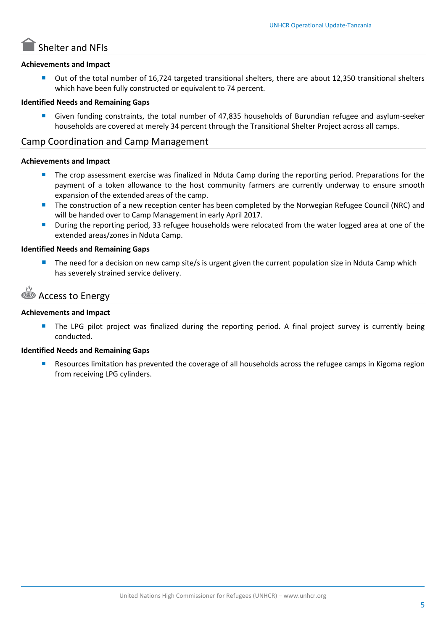# Shelter and NFIs

#### **Achievements and Impact**

 Out of the total number of 16,724 targeted transitional shelters, there are about 12,350 transitional shelters which have been fully constructed or equivalent to 74 percent.

#### **Identified Needs and Remaining Gaps**

 Given funding constraints, the total number of 47,835 households of Burundian refugee and asylum-seeker households are covered at merely 34 percent through the Transitional Shelter Project across all camps.

#### Camp Coordination and Camp Management

#### **Achievements and Impact**

- The crop assessment exercise was finalized in Nduta Camp during the reporting period. Preparations for the payment of a token allowance to the host community farmers are currently underway to ensure smooth expansion of the extended areas of the camp.
- **The construction of a new reception center has been completed by the Norwegian Refugee Council (NRC) and** will be handed over to Camp Management in early April 2017.
- **During the reporting period, 33 refugee households were relocated from the water logged area at one of the** extended areas/zones in Nduta Camp.

#### **Identified Needs and Remaining Gaps**

 The need for a decision on new camp site/s is urgent given the current population size in Nduta Camp which has severely strained service delivery.

```
Access to Energy
```
#### **Achievements and Impact**

**The LPG pilot project was finalized during the reporting period. A final project survey is currently being** conducted.

#### **Identified Needs and Remaining Gaps**

 Resources limitation has prevented the coverage of all households across the refugee camps in Kigoma region from receiving LPG cylinders.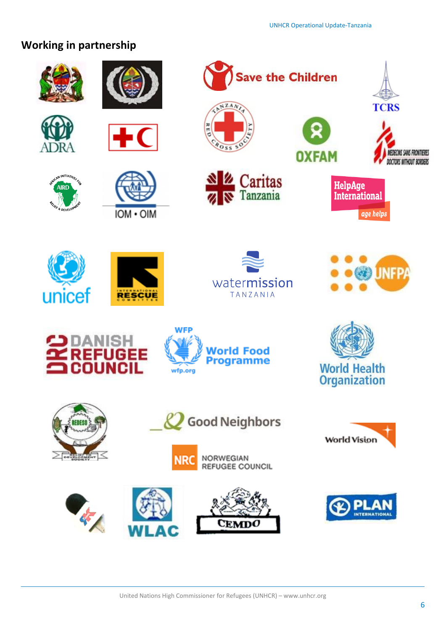## **Working in partnership**